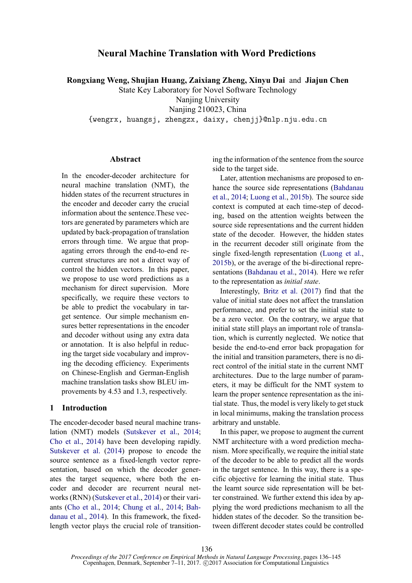# **Neural Machine Translation with Word Predictions**

**Rongxiang Weng, Shujian Huang, Zaixiang Zheng, Xinyu Dai** and **Jiajun Chen**

State Key Laboratory for Novel Software Technology Nanjing University

Nanjing 210023, China

{wengrx, huangsj, zhengzx, daixy, chenjj}@nlp.nju.edu.cn

# **Abstract**

In the encoder-decoder architecture for neural machine translation (NMT), the hidden states of the recurrent structures in the encoder and decoder carry the crucial information about the sentence.These vectors are generated by parameters which are updated by back-propagation of translation errors through time. We argue that propagating errors through the end-to-end recurrent structures are not a direct way of control the hidden vectors. In this paper, we propose to use word predictions as a mechanism for direct supervision. More specifically, we require these vectors to be able to predict the vocabulary in target sentence. Our simple mechanism ensures better representations in the encoder and decoder without using any extra data or annotation. It is also helpful in reducing the target side vocabulary and improving the decoding efficiency. Experiments on Chinese-English and German-English machine translation tasks show BLEU improvements by 4.53 and 1.3, respectively.

# **1 Introduction**

The encoder-decoder based neural machine translation (NMT) models (Sutskever et al., 2014; Cho et al., 2014) have been developing rapidly. Sutskever et al. (2014) propose to encode the source sentence as a fixed-length vector representation, based on which the decoder generates the target sequence, where both the encoder and decoder are recurrent neural networks (RNN) (Sutskever et al., 2014) or their variants (Cho et al., 2014; Chung et al., 2014; Bahdanau et al., 2014). In this framework, the fixedlength vector plays the crucial role of transition-

ing the information of the sentence from the source side to the target side.

Later, attention mechanisms are proposed to enhance the source side representations (Bahdanau et al., 2014; Luong et al., 2015b). The source side context is computed at each time-step of decoding, based on the attention weights between the source side representations and the current hidden state of the decoder. However, the hidden states in the recurrent decoder still originate from the single fixed-length representation (Luong et al., 2015b), or the average of the bi-directional representations (Bahdanau et al., 2014). Here we refer to the representation as *initial state*.

Interestingly, Britz et al. (2017) find that the value of initial state does not affect the translation performance, and prefer to set the initial state to be a zero vector. On the contrary, we argue that initial state still plays an important role of translation, which is currently neglected. We notice that beside the end-to-end error back propagation for the initial and transition parameters, there is no direct control of the initial state in the current NMT architectures. Due to the large number of parameters, it may be difficult for the NMT system to learn the proper sentence representation as the initial state. Thus, the model is very likely to get stuck in local minimums, making the translation process arbitrary and unstable.

In this paper, we propose to augment the current NMT architecture with a word prediction mechanism. More specifically, we require the initial state of the decoder to be able to predict all the words in the target sentence. In this way, there is a specific objective for learning the initial state. Thus the learnt source side representation will be better constrained. We further extend this idea by applying the word predictions mechanism to all the hidden states of the decoder. So the transition between different decoder states could be controlled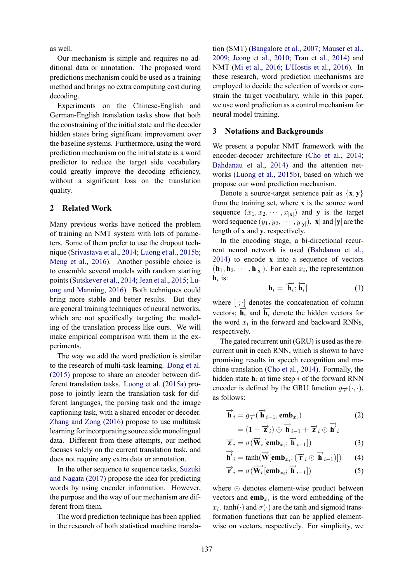as well.

Our mechanism is simple and requires no additional data or annotation. The proposed word predictions mechanism could be used as a training method and brings no extra computing cost during decoding.

Experiments on the Chinese-English and German-English translation tasks show that both the constraining of the initial state and the decoder hidden states bring significant improvement over the baseline systems. Furthermore, using the word prediction mechanism on the initial state as a word predictor to reduce the target side vocabulary could greatly improve the decoding efficiency, without a significant loss on the translation quality.

# **2 Related Work**

Many previous works have noticed the problem of training an NMT system with lots of parameters. Some of them prefer to use the dropout technique (Srivastava et al., 2014; Luong et al., 2015b; Meng et al., 2016). Another possible choice is to ensemble several models with random starting points (Sutskever et al., 2014; Jean et al., 2015; Luong and Manning, 2016). Both techniques could bring more stable and better results. But they are general training techniques of neural networks, which are not specifically targeting the modeling of the translation process like ours. We will make empirical comparison with them in the experiments.

The way we add the word prediction is similar to the research of multi-task learning. Dong et al. (2015) propose to share an encoder between different translation tasks. Luong et al. (2015a) propose to jointly learn the translation task for different languages, the parsing task and the image captioning task, with a shared encoder or decoder. Zhang and Zong (2016) propose to use multitask learning for incorporating source side monolingual data. Different from these attempts, our method focuses solely on the current translation task, and does not require any extra data or annotation.

In the other sequence to sequence tasks, Suzuki and Nagata (2017) propose the idea for predicting words by using encoder information. However, the purpose and the way of our mechanism are different from them.

The word prediction technique has been applied in the research of both statistical machine transla-

tion (SMT) (Bangalore et al., 2007; Mauser et al., 2009; Jeong et al., 2010; Tran et al., 2014) and NMT (Mi et al., 2016; L'Hostis et al., 2016). In these research, word prediction mechanisms are employed to decide the selection of words or constrain the target vocabulary, while in this paper, we use word prediction as a control mechanism for neural model training.

# **3 Notations and Backgrounds**

We present a popular NMT framework with the encoder-decoder architecture (Cho et al., 2014; Bahdanau et al., 2014) and the attention networks (Luong et al., 2015b), based on which we propose our word prediction mechanism.

Denote a source-target sentence pair as  $\{x, y\}$ from the training set, where **x** is the source word sequence  $(x_1, x_2, \dots, x_{|\mathbf{x}|})$  and **y** is the target word sequence  $(y_1, y_2, \dots, y_{|\mathbf{y}|})$ ,  $|\mathbf{x}|$  and  $|\mathbf{y}|$  are the length of **x** and **y**, respectively.

In the encoding stage, a bi-directional recurrent neural network is used (Bahdanau et al., 2014) to encode **x** into a sequence of vectors  $(\mathbf{h}_1, \mathbf{h}_2, \cdots, \mathbf{h}_{|\mathbf{x}|})$ . For each  $x_i$ , the representation  $h_i$  is:

$$
\mathbf{h}_i = [\overrightarrow{\mathbf{h}_i}; \overleftarrow{\mathbf{h}_i}] \tag{1}
$$

where  $[\cdot; \cdot]$  denotes the concatenation of column vectors;  $\overrightarrow{\mathbf{h}_i}$  and  $\overleftarrow{\mathbf{h}_i}$  denote the hidden vectors for the word  $x_i$  in the forward and backward RNNs, respectively.

The gated recurrent unit (GRU) is used as the recurrent unit in each RNN, which is shown to have promising results in speech recognition and machine translation (Cho et al., 2014). Formally, the hidden state  $h_i$  at time step i of the forward RNN encoder is defined by the GRU function  $g_{\vec{e}}(\cdot,\cdot)$ , as follows:

$$
\overrightarrow{\mathbf{h}}_{i} = g_{\overrightarrow{e}}(\overrightarrow{\mathbf{h}}_{i-1}, \mathbf{emb}_{x_{i}})
$$
  
=  $(\mathbf{1} - \overrightarrow{\mathbf{z}}_{i}) \odot \overrightarrow{\mathbf{h}}_{i-1} + \overrightarrow{\mathbf{z}}_{i} \odot \overrightarrow{\mathbf{h}}'_{i}$  (2)

$$
= (\mathbf{1} - \overrightarrow{\mathbf{z}}_i) \odot \mathbf{h}_{i-1} + \overrightarrow{\mathbf{z}}_i \odot \mathbf{h}'_i
$$
  

$$
\overrightarrow{\mathbf{z}}_i = \sigma(\overrightarrow{\mathbf{W}}_z[\mathbf{emb}_{x_i}; \overrightarrow{\mathbf{h}}_{i-1}])
$$
 (3)

$$
\overrightarrow{\mathbf{h}}'_{i} = \tanh(\overrightarrow{\mathbf{W}}[\mathbf{emb}_{x_i}; (\overrightarrow{\mathbf{r}}_{i} \odot \overrightarrow{\mathbf{h}}_{i-1})]) \qquad (4)
$$

$$
\overrightarrow{\mathbf{r}}_{i} = \sigma(\overrightarrow{\mathbf{W}_{r}}[\mathbf{emb}_{x_{i}}; \overrightarrow{\mathbf{h}}_{i-1}])
$$
\n(5)

where ⊙ denotes element-wise product between vectors and  $emb_{x_i}$  is the word embedding of the  $x_i$ . tanh( $\cdot$ ) and  $\sigma(\cdot)$  are the tanh and sigmoid transformation functions that can be applied elementwise on vectors, respectively. For simplicity, we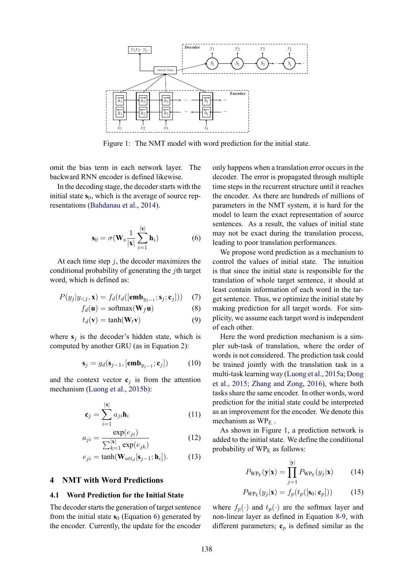

Figure 1: The NMT model with word prediction for the initial state.

omit the bias term in each network layer. The backward RNN encoder is defined likewise.

In the decoding stage, the decoder starts with the initial state  $s<sub>0</sub>$ , which is the average of source representations (Bahdanau et al., 2014).

$$
\mathbf{s}_0 = \sigma(\mathbf{W}_s \frac{1}{|\mathbf{x}|} \sum_{i=1}^{|\mathbf{x}|} \mathbf{h}_i)
$$
 (6)

At each time step  $j$ , the decoder maximizes the conditional probability of generating the jth target word, which is defined as:

$$
P(y_j|y_{< j}, \mathbf{x}) = f_d(t_d([\mathbf{emb}_{y_{j-1}}; \mathbf{s}_j; \mathbf{c}_j])) \quad (7)
$$

$$
f_d(\mathbf{u}) = \text{softmax}(\mathbf{W}_f \mathbf{u})
$$
 (8)

$$
t_d(\mathbf{v}) = \tanh(\mathbf{W}_t \mathbf{v}) \tag{9}
$$

where  $s_i$  is the decoder's hidden state, which is computed by another GRU (as in Equation 2):

$$
\mathbf{s}_j = g_d(\mathbf{s}_{j-1}, [\mathbf{emb}_{y_{j-1}}; \mathbf{c}_j]) \tag{10}
$$

and the context vector  $c_j$  is from the attention mechanism (Luong et al., 2015b):

$$
\mathbf{c}_j = \sum_{i=1}^{|\mathbf{x}|} a_{ji} \mathbf{h}_i \tag{11}
$$

$$
a_{ji} = \frac{\exp(e_{ji})}{\sum_{k=1}^{|\mathbf{x}|} \exp(e_{jk})}
$$
(12)

$$
e_{ji} = \tanh(\mathbf{W}_{att_d}[\mathbf{s}_{j-1}; \mathbf{h}_i]).
$$
 (13)

# **4 NMT with Word Predictions**

# **4.1 Word Prediction for the Initial State**

The decoder starts the generation of target sentence from the initial state  $s_0$  (Equation 6) generated by the encoder. Currently, the update for the encoder

only happens when a translation error occurs in the decoder. The error is propagated through multiple time steps in the recurrent structure until it reaches the encoder. As there are hundreds of millions of parameters in the NMT system, it is hard for the model to learn the exact representation of source sentences. As a result, the values of initial state may not be exact during the translation process, leading to poor translation performances.

We propose word prediction as a mechanism to control the values of initial state. The intuition is that since the initial state is responsible for the translation of whole target sentence, it should at least contain information of each word in the target sentence. Thus, we optimize the initial state by making prediction for all target words. For simplicity, we assume each target word is independent of each other.

Here the word prediction mechanism is a simpler sub-task of translation, where the order of words is not considered. The prediction task could be trained jointly with the translation task in a multi-task learning way (Luong et al., 2015a; Dong et al., 2015; Zhang and Zong, 2016), where both tasks share the same encoder. In other words, word prediction for the initial state could be interpreted as an improvement for the encoder. We denote this mechanism as  $WP_E$ .

As shown in Figure 1, a prediction network is added to the initial state. We define the conditional probability of  $WP_E$  as follows:

$$
P_{\rm WP_E}(\mathbf{y}|\mathbf{x}) = \prod_{j=1}^{|\mathbf{y}|} P_{\rm WP_E}(y_j|\mathbf{x}) \qquad (14)
$$

$$
P_{\text{WP}_E}(y_j|\mathbf{x}) = f_p(t_p([\mathbf{s}_0; \mathbf{c}_p])) \tag{15}
$$

where  $f_p(\cdot)$  and  $t_p(\cdot)$  are the softmax layer and non-linear layer as defined in Equation 8-9, with different parameters;  $\mathbf{c}_p$  is defined similar as the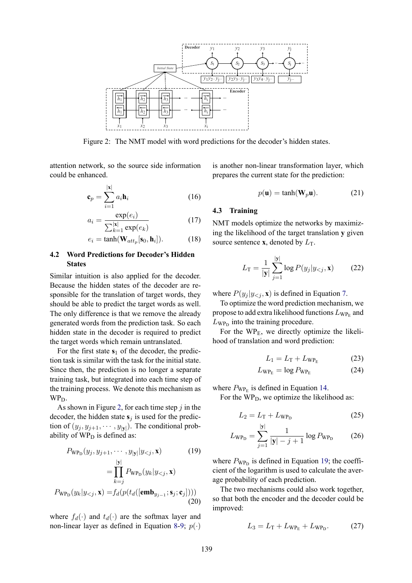

Figure 2: The NMT model with word predictions for the decoder's hidden states.

attention network, so the source side information could be enhanced.

$$
\mathbf{c}_p = \sum_{i=1}^{|\mathbf{x}|} a_i \mathbf{h}_i
$$
 (16)

$$
a_i = \frac{\exp(e_i)}{\sum_{k=1}^{|\mathbf{x}|} \exp(e_k)}\tag{17}
$$

$$
e_i = \tanh(\mathbf{W}_{att_p}[\mathbf{s}_0, \mathbf{h}_i]). \tag{18}
$$

# **4.2 Word Predictions for Decoder's Hidden States**

Similar intuition is also applied for the decoder. Because the hidden states of the decoder are responsible for the translation of target words, they should be able to predict the target words as well. The only difference is that we remove the already generated words from the prediction task. So each hidden state in the decoder is required to predict the target words which remain untranslated.

For the first state  $s_1$  of the decoder, the prediction task is similar with the task for the initial state. Since then, the prediction is no longer a separate training task, but integrated into each time step of the training process. We denote this mechanism as WP<sub>D</sub>.

As shown in Figure 2, for each time step  $\dot{\gamma}$  in the decoder, the hidden state  $s_j$  is used for the prediction of  $(y_j, y_{j+1}, \dots, y_{|\mathbf{y}|})$ . The conditional probability of  $WP<sub>D</sub>$  is defined as:

$$
P_{\text{WP}_{\text{D}}}(y_j, y_{j+1}, \cdots, y_{|\textbf{y}|} | y_{
$$
= \prod_{k=j}^{|\textbf{y}|} P_{\text{WP}_{\text{D}}}(y_k | y_{
$$
P_{\text{WP}_{\text{D}}}(y_k | y_{
$$
$$
$$

where  $f_d(\cdot)$  and  $t_d(\cdot)$  are the softmax layer and non-linear layer as defined in Equation 8-9;  $p(\cdot)$ 

is another non-linear transformation layer, which prepares the current state for the prediction:

$$
p(\mathbf{u}) = \tanh(\mathbf{W}_p \mathbf{u}).\tag{21}
$$

# **4.3 Training**

NMT models optimize the networks by maximizing the likelihood of the target translation **y** given source sentence **x**, denoted by  $L_T$ .

$$
L_{\rm T} = \frac{1}{|\mathbf{y}|} \sum_{j=1}^{|\mathbf{y}|} \log P(y_j | y_{< j}, \mathbf{x}) \tag{22}
$$

where  $P(y_i | y_{\leq i}, \mathbf{x})$  is defined in Equation 7.

To optimize the word prediction mechanism, we propose to add extra likelihood functions  $L_{\rm WP_E}$  and  $L_{\text{WP}_D}$  into the training procedure.

For the  $WP_E$ , we directly optimize the likelihood of translation and word prediction:

$$
L_1 = L_T + L_{\rm WP_E} \tag{23}
$$

$$
L_{\rm WP_E} = \log P_{\rm WP_E} \tag{24}
$$

where  $P_{\text{WP}_E}$  is defined in Equation 14.

For the  $WP<sub>D</sub>$ , we optimize the likelihood as:

$$
L_2 = L_T + L_{\rm WP_D} \tag{25}
$$

$$
L_{\rm WPD} = \sum_{j=1}^{|y|} \frac{1}{|y| - j + 1} \log P_{\rm WPD}
$$
 (26)

where  $P_{\text{WP}_D}$  is defined in Equation 19; the coefficient of the logarithm is used to calculate the average probability of each prediction.

The two mechanisms could also work together, so that both the encoder and the decoder could be improved:

$$
L_3 = L_{\rm T} + L_{\rm WP_E} + L_{\rm WP_D}.\tag{27}
$$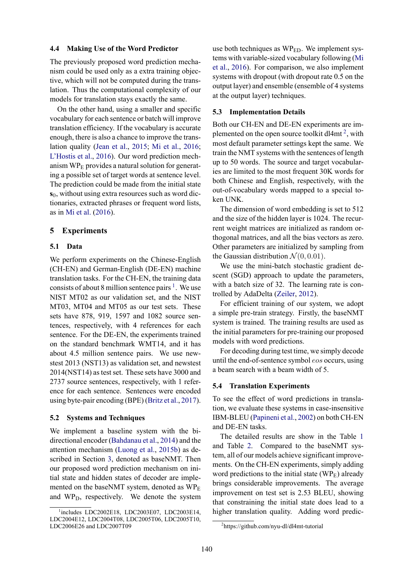### **4.4 Making Use of the Word Predictor**

The previously proposed word prediction mechanism could be used only as a extra training objective, which will not be computed during the translation. Thus the computational complexity of our models for translation stays exactly the same.

On the other hand, using a smaller and specific vocabulary for each sentence or batch will improve translation efficiency. If the vocabulary is accurate enough, there is also a chance to improve the translation quality (Jean et al., 2015; Mi et al., 2016; L'Hostis et al., 2016). Our word prediction mechanism  $WP_E$  provides a natural solution for generating a possible set of target words at sentence level. The prediction could be made from the initial state **s**<sub>0</sub>, without using extra resources such as word dictionaries, extracted phrases or frequent word lists, as in Mi et al. (2016).

# **5 Experiments**

#### **5.1 Data**

We perform experiments on the Chinese-English (CH-EN) and German-English (DE-EN) machine translation tasks. For the CH-EN, the training data consists of about 8 million sentence pairs  $<sup>1</sup>$ . We use</sup> NIST MT02 as our validation set, and the NIST MT03, MT04 and MT05 as our test sets. These sets have 878, 919, 1597 and 1082 source sentences, respectively, with 4 references for each sentence. For the DE-EN, the experiments trained on the standard benchmark WMT14, and it has about 4.5 million sentence pairs. We use newstest 2013 (NST13) as validation set, and newstest 2014(NST14) as test set. These sets have 3000 and 2737 source sentences, respectively, with 1 reference for each sentence. Sentences were encoded using byte-pair encoding (BPE) (Britz et al., 2017).

# **5.2 Systems and Techniques**

We implement a baseline system with the bidirectional encoder (Bahdanau et al., 2014) and the attention mechanism (Luong et al., 2015b) as described in Section 3, denoted as baseNMT. Then our proposed word prediction mechanism on initial state and hidden states of decoder are implemented on the baseNMT system, denoted as  $W P_{E}$ and WPD, respectively. We denote the system

use both techniques as WP<sub>ED</sub>. We implement systems with variable-sized vocabulary following (Mi et al., 2016). For comparison, we also implement systems with dropout (with dropout rate 0.5 on the output layer) and ensemble (ensemble of 4 systems at the output layer) techniques.

#### **5.3 Implementation Details**

Both our CH-EN and DE-EN experiments are implemented on the open source toolkit dl4mt<sup>2</sup>, with most default parameter settings kept the same. We train the NMT systems with the sentences of length up to 50 words. The source and target vocabularies are limited to the most frequent 30K words for both Chinese and English, respectively, with the out-of-vocabulary words mapped to a special token UNK.

The dimension of word embedding is set to 512 and the size of the hidden layer is 1024. The recurrent weight matrices are initialized as random orthogonal matrices, and all the bias vectors as zero. Other parameters are initialized by sampling from the Gaussian distribution  $\mathcal{N}(0, 0.01)$ .

We use the mini-batch stochastic gradient descent (SGD) approach to update the parameters, with a batch size of 32. The learning rate is controlled by AdaDelta (Zeiler, 2012).

For efficient training of our system, we adopt a simple pre-train strategy. Firstly, the baseNMT system is trained. The training results are used as the initial parameters for pre-training our proposed models with word predictions.

For decoding during test time, we simply decode until the end-of-sentence symbol eos occurs, using a beam search with a beam width of 5.

# **5.4 Translation Experiments**

To see the effect of word predictions in translation, we evaluate these systems in case-insensitive IBM-BLEU (Papineni et al., 2002) on both CH-EN and DE-EN tasks.

The detailed results are show in the Table 1 and Table 2. Compared to the baseNMT system, all of our models achieve significant improvements. On the CH-EN experiments, simply adding word predictions to the initial state  $(WP<sub>E</sub>)$  already brings considerable improvements. The average improvement on test set is 2.53 BLEU, showing that constraining the initial state does lead to a higher translation quality. Adding word predic-

<sup>1</sup> includes LDC2002E18, LDC2003E07, LDC2003E14, LDC2004E12, LDC2004T08, LDC2005T06, LDC2005T10, LDC2006E26 and LDC2007T09

<sup>2</sup> https://github.com/nyu-dl/dl4mt-tutorial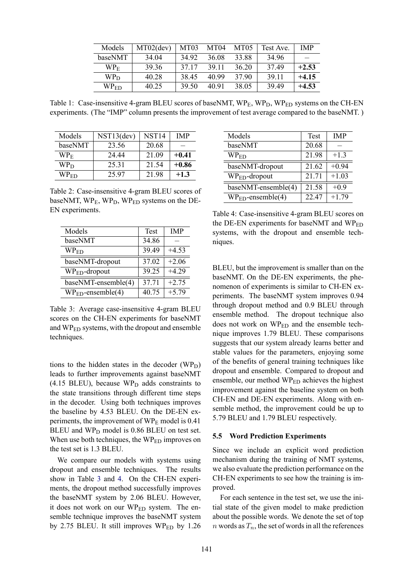| Models           | $MT02$ (dev) | <b>MT03</b> | MT <sub>04</sub> | MT <sub>05</sub> | Test Ave. | <b>IMP</b> |
|------------------|--------------|-------------|------------------|------------------|-----------|------------|
| baseNMT          | 34.04        | 34 92       | 36.08            | 33.88            | 34 96     |            |
| WP <sub>E</sub>  | 39.36        | 37 17       | 39 11            | 36.20            | 37.49     | $+2.53$    |
| $W P_D$          | 40 28        | 38.45       | 40.99            | 37.90            | 39 11     | $+4.15$    |
| WP <sub>ED</sub> | 40.25        | 39.50       | 40.91            | 38.05            | 39.49     | $+4.53$    |

Table 1: Case-insensitive 4-gram BLEU scores of baseNMT,  $WP_{F}$ ,  $WP_{D}$ ,  $WP_{FD}$  systems on the CH-EN experiments. (The "IMP" column presents the improvement of test average compared to the baseNMT. )

| Models           | NST13(dev) | NST <sub>14</sub> | <b>IMP</b> |
|------------------|------------|-------------------|------------|
| baseNMT          | 23.56      | 20.68             |            |
| WP <sub>E</sub>  | 24 44      | 21.09             | $+0.41$    |
| WP <sub>D</sub>  | 25 31      | 21.54             | $+0.86$    |
| WP <sub>ED</sub> | 25.97      | 2198              | $+1.3$     |

Table 2: Case-insensitive 4-gram BLEU scores of baseNMT, WP<sub>E</sub>, WP<sub>D</sub>, WP<sub>ED</sub> systems on the DE-EN experiments.

| Models              | <b>Test</b> | <b>IMP</b> |
|---------------------|-------------|------------|
| baseNMT             | 34.86       |            |
| $\rm WP_{ED}$       | 39.49       | $+4.53$    |
| baseNMT-dropout     | 37.02       | $+2.06$    |
| $WPED$ -dropout     | 39.25       | $+4.29$    |
| baseNMT-ensemble(4) | 37.71       | $+2.75$    |
| $WPED$ -ensemble(4) | 40.75       | $+5.79$    |

Table 3: Average case-insensitive 4-gram BLEU scores on the CH-EN experiments for baseNMT and WPED systems, with the dropout and ensemble techniques.

tions to the hidden states in the decoder  $(WP_D)$ leads to further improvements against baseNMT  $(4.15$  BLEU), because WP<sub>D</sub> adds constraints to the state transitions through different time steps in the decoder. Using both techniques improves the baseline by 4.53 BLEU. On the DE-EN experiments, the improvement of  $WP_E$  model is 0.41 BLEU and  $WP<sub>D</sub>$  model is 0.86 BLEU on test set. When use both techniques, the WP<sub>ED</sub> improves on the test set is 1.3 BLEU.

We compare our models with systems using dropout and ensemble techniques. The results show in Table 3 and 4. On the CH-EN experiments, the dropout method successfully improves the baseNMT system by 2.06 BLEU. However, it does not work on our  $WP_{ED}$  system. The ensemble technique improves the baseNMT system by 2.75 BLEU. It still improves  $WP_{ED}$  by 1.26

| Models              | <b>Test</b> | <b>IMP</b> |
|---------------------|-------------|------------|
| baseNMT             | 20.68       |            |
| $WP_{ED}$           | 21.98       | $+1.3$     |
| baseNMT-dropout     | 21.62       | $+0.94$    |
| $WPED$ -dropout     | 21.71       | $+1.03$    |
| baseNMT-ensemble(4) | 21.58       | $+0.9$     |
| $WPED$ -ensemble(4) | 22.47       | $+1.79$    |

Table 4: Case-insensitive 4-gram BLEU scores on the DE-EN experiments for baseNMT and WP<sub>ED</sub> systems, with the dropout and ensemble techniques.

BLEU, but the improvement is smaller than on the baseNMT. On the DE-EN experiments, the phenomenon of experiments is similar to CH-EN experiments. The baseNMT system improves 0.94 through dropout method and 0.9 BLEU through ensemble method. The dropout technique also does not work on  $W_{\text{FD}}$  and the ensemble technique improves 1.79 BLEU. These comparisons suggests that our system already learns better and stable values for the parameters, enjoying some of the benefits of general training techniques like dropout and ensemble. Compared to dropout and ensemble, our method WP<sub>ED</sub> achieves the highest improvement against the baseline system on both CH-EN and DE-EN experiments. Along with ensemble method, the improvement could be up to 5.79 BLEU and 1.79 BLEU respectively.

# **5.5 Word Prediction Experiments**

Since we include an explicit word prediction mechanism during the training of NMT systems, we also evaluate the prediction performance on the CH-EN experiments to see how the training is improved.

For each sentence in the test set, we use the initial state of the given model to make prediction about the possible words. We denote the set of top n words as  $T_n$ , the set of words in all the references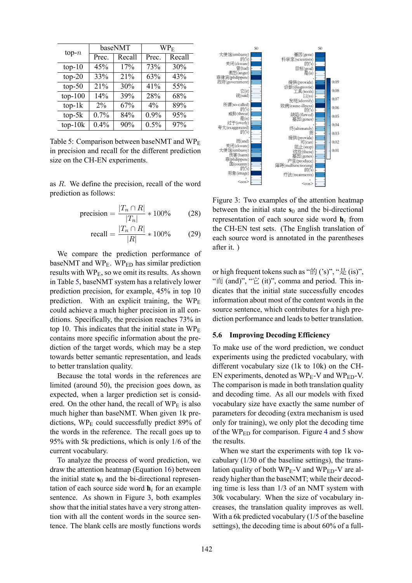| $top-n$   | baseNMT |        | $\rm WP_E$ |        |  |
|-----------|---------|--------|------------|--------|--|
|           | Prec.   | Recall | Prec.      | Recall |  |
| $top-10$  | 45%     | 17%    | 73%        | 30%    |  |
| $top-20$  | 33%     | 21%    | 63%        | 43%    |  |
| $top-50$  | 21%     | 30%    | 41%        | 55%    |  |
| $top-100$ | 14%     | 39%    | 28%        | 68%    |  |
| $top-1k$  | $2\%$   | 67%    | $4\%$      | 89%    |  |
| $top-5k$  | 0.7%    | 84%    | $0.9\%$    | 95%    |  |
| $top-10k$ | 0.4%    | 90%    | 0.5%       | 97%    |  |

Table 5: Comparison between baseNMT and  $W P_{\rm E}$ in precision and recall for the different prediction size on the CH-EN experiments.

as R. We define the precision, recall of the word prediction as follows:

$$
\text{precision} = \frac{|T_n \cap R|}{|T_n|} * 100\% \tag{28}
$$

$$
\text{recall} = \frac{|T_n \cap R|}{|R|} * 100\% \tag{29}
$$

We compare the prediction performance of baseNMT and  $WP_E$ . WP<sub>ED</sub> has similar prediction results with  $WP_E$ , so we omit its results. As shown in Table 5, baseNMT system has a relatively lower prediction precision, for example, 45% in top 10 prediction. With an explicit training, the  $W\text{P}_E$ could achieve a much higher precision in all conditions. Specifically, the precision reaches 73% in top 10. This indicates that the initial state in  $W\text{P}_E$ contains more specific information about the prediction of the target words, which may be a step towards better semantic representation, and leads to better translation quality.

Because the total words in the references are limited (around 50), the precision goes down, as expected, when a larger prediction set is considered. On the other hand, the recall of  $W P_{E}$  is also much higher than baseNMT. When given 1k predictions,  $WP_E$  could successfully predict 89% of the words in the reference. The recall goes up to 95% with 5k predictions, which is only 1/6 of the current vocabulary.

To analyze the process of word prediction, we draw the attention heatmap (Equation 16) between the initial state  $s_0$  and the bi-directional representation of each source side word  $\mathbf{h}_i$  for an example sentence. As shown in Figure 3, both examples show that the initial states have a very strong attention with all the content words in the source sentence. The blank cells are mostly functions words



Figure 3: Two examples of the attention heatmap between the initial state  $s_0$  and the bi-directional representation of each source side word  $\mathbf{h}_i$  from the CH-EN test sets. (The English translation of each source word is annotated in the parentheses after it. )

or high frequent tokens such as "的  $('s)$ ", "是  $(is)$ ", " $\overline{m}$  (and)", " $\overleftrightarrow{E}$  (it)", comma and period. This indicates that the initial state successfully encodes information about most of the content words in the source sentence, which contributes for a high prediction performance and leads to better translation.

#### **5.6 Improving Decoding Efficiency**

To make use of the word prediction, we conduct experiments using the predicted vocabulary, with different vocabulary size (1k to 10k) on the CH-EN experiments, denoted as  $WP_E-V$  and  $WP_{ED}-V$ . The comparison is made in both translation quality and decoding time. As all our models with fixed vocabulary size have exactly the same number of parameters for decoding (extra mechanism is used only for training), we only plot the decoding time of the  $W\text{P}_{ED}$  for comparison. Figure 4 and 5 show the results.

When we start the experiments with top 1k vocabulary (1/30 of the baseline settings), the translation quality of both  $WP_E-V$  and  $WP_{ED}-V$  are already higher than the baseNMT; while their decoding time is less than 1/3 of an NMT system with 30k vocabulary. When the size of vocabulary increases, the translation quality improves as well. With a 6k predicted vocabulary (1/5 of the baseline settings), the decoding time is about 60% of a full-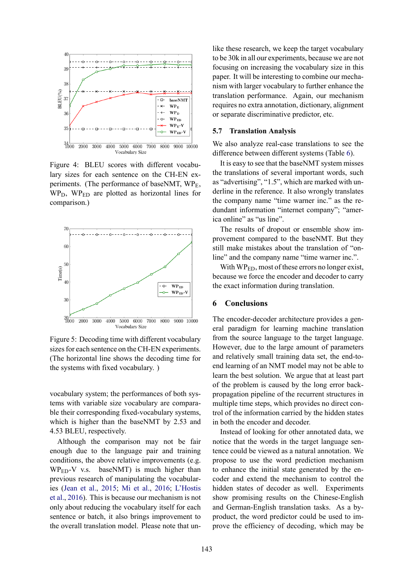

Figure 4: BLEU scores with different vocabulary sizes for each sentence on the CH-EN experiments. (The performance of baseNMT, WPE,  $WP<sub>D</sub>$ ,  $WP<sub>ED</sub>$  are plotted as horizontal lines for comparison.)



Figure 5: Decoding time with different vocabulary sizes for each sentence on the CH-EN experiments. (The horizontal line shows the decoding time for the systems with fixed vocabulary. )

vocabulary system; the performances of both systems with variable size vocabulary are comparable their corresponding fixed-vocabulary systems, which is higher than the baseNMT by 2.53 and 4.53 BLEU, respectively.

Although the comparison may not be fair enough due to the language pair and training conditions, the above relative improvements (e.g.  $WP_{ED}$ -V v.s. baseNMT) is much higher than previous research of manipulating the vocabularies (Jean et al., 2015; Mi et al., 2016; L'Hostis et al., 2016). This is because our mechanism is not only about reducing the vocabulary itself for each sentence or batch, it also brings improvement to the overall translation model. Please note that un-

like these research, we keep the target vocabulary to be 30k in all our experiments, because we are not focusing on increasing the vocabulary size in this paper. It will be interesting to combine our mechanism with larger vocabulary to further enhance the translation performance. Again, our mechanism requires no extra annotation, dictionary, alignment or separate discriminative predictor, etc.

#### **5.7 Translation Analysis**

We also analyze real-case translations to see the difference between different systems (Table 6).

It is easy to see that the baseNMT system misses the translations of several important words, such as "advertising", "1.5", which are marked with underline in the reference. It also wrongly translates the company name "time warner inc." as the redundant information "internet company"; "america online" as "us line".

The results of dropout or ensemble show improvement compared to the baseNMT. But they still make mistakes about the translation of "online" and the company name "time warner inc.".

With WP<sub>ED</sub>, most of these errors no longer exist, because we force the encoder and decoder to carry the exact information during translation.

# **6 Conclusions**

The encoder-decoder architecture provides a general paradigm for learning machine translation from the source language to the target language. However, due to the large amount of parameters and relatively small training data set, the end-toend learning of an NMT model may not be able to learn the best solution. We argue that at least part of the problem is caused by the long error backpropagation pipeline of the recurrent structures in multiple time steps, which provides no direct control of the information carried by the hidden states in both the encoder and decoder.

Instead of looking for other annotated data, we notice that the words in the target language sentence could be viewed as a natural annotation. We propose to use the word prediction mechanism to enhance the initial state generated by the encoder and extend the mechanism to control the hidden states of decoder as well. Experiments show promising results on the Chinese-English and German-English translation tasks. As a byproduct, the word predictor could be used to improve the efficiency of decoding, which may be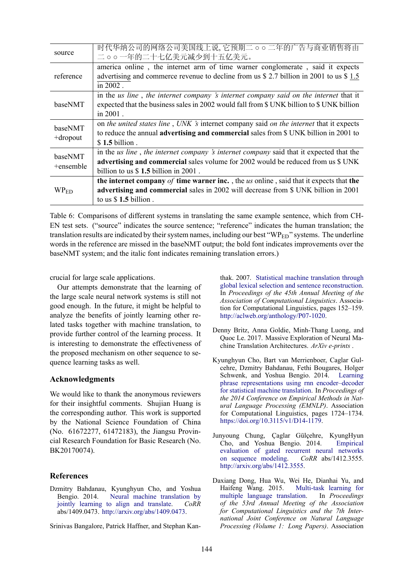| source                 | 时代华纳公司的网络公司美国线上说,它预期二 o o 二年的广告与商业销售将由<br>二。。一年的二十七亿美元减少到十五亿美元。                                                                                                                                                      |
|------------------------|----------------------------------------------------------------------------------------------------------------------------------------------------------------------------------------------------------------------|
| reference              | america online, the internet arm of time warner conglomerate, said it expects<br>advertising and commerce revenue to decline from us \$ 2.7 billion in 2001 to us \$ 1.5<br>in 2002.                                 |
| baseNMT                | in the us line, the internet company 's internet company said on the internet that it<br>expected that the business sales in 2002 would fall from \$ UNK billion to \$ UNK billion<br>in $2001$ .                    |
| baseNMT<br>$+$ dropout | on the united states line, UNK 's internet company said on the internet that it expects<br>to reduce the annual <b>advertising and commercial</b> sales from \$ UNK billion in 2001 to<br>$$1.5$ billion.            |
| baseNMT<br>+ensemble   | in the us line, the internet company 's internet company said that it expected that the<br>advertising and commercial sales volume for 2002 would be reduced from us \$ UNK<br>billion to us $$1.5$ billion in 2001. |
| WP <sub>ED</sub>       | the internet company of time warner inc., the us online, said that it expects that the<br>advertising and commercial sales in 2002 will decrease from \$ UNK billion in 2001<br>to us $$1.5$ billion.                |

Table 6: Comparisons of different systems in translating the same example sentence, which from CH-EN test sets. ("source" indicates the source sentence; "reference" indicates the human translation; the translation results are indicated by their system names, including our best "WP $_{ED}$ " systems. The underline words in the reference are missed in the baseNMT output; the bold font indicates improvements over the baseNMT system; and the italic font indicates remaining translation errors.)

crucial for large scale applications.

Our attempts demonstrate that the learning of the large scale neural network systems is still not good enough. In the future, it might be helpful to analyze the benefits of jointly learning other related tasks together with machine translation, to provide further control of the learning process. It is interesting to demonstrate the effectiveness of the proposed mechanism on other sequence to sequence learning tasks as well.

# **Acknowledgments**

We would like to thank the anonymous reviewers for their insightful comments. Shujian Huang is the corresponding author. This work is supported by the National Science Foundation of China (No. 61672277, 61472183), the Jiangsu Provincial Research Foundation for Basic Research (No. BK20170074).

# **References**

Dzmitry Bahdanau, Kyunghyun Cho, and Yoshua Bengio. 2014. Neural machine translation by jointly learning to align and translate. *CoRR* abs/1409.0473. http://arxiv.org/abs/1409.0473.

Srinivas Bangalore, Patrick Haffner, and Stephan Kan-

thak. 2007. Statistical machine translation through global lexical selection and sentence reconstruction. In *Proceedings of the 45th Annual Meeting of the Association of Computational Linguistics*. Association for Computational Linguistics, pages 152–159. http://aclweb.org/anthology/P07-1020.

- Denny Britz, Anna Goldie, Minh-Thang Luong, and Quoc Le. 2017. Massive Exploration of Neural Machine Translation Architectures. *ArXiv e-prints* .
- Kyunghyun Cho, Bart van Merrienboer, Caglar Gulcehre, Dzmitry Bahdanau, Fethi Bougares, Holger Schwenk, and Yoshua Bengio. 2014. Learning phrase representations using rnn encoder–decoder for statistical machine translation. In *Proceedings of the 2014 Conference on Empirical Methods in Natural Language Processing (EMNLP)*. Association for Computational Linguistics, pages 1724–1734. https://doi.org/10.3115/v1/D14-1179.
- Junyoung Chung, Çaglar Gülçehre, KyungHyun Cho, and Yoshua Bengio. 2014. Empirical evaluation of gated recurrent neural networks on sequence modeling. *CoRR* abs/1412.3555. http://arxiv.org/abs/1412.3555.
- Daxiang Dong, Hua Wu, Wei He, Dianhai Yu, and Multi-task learning for multiple language translation. In *Proceedings of the 53rd Annual Meeting of the Association for Computational Linguistics and the 7th International Joint Conference on Natural Language Processing (Volume 1: Long Papers)*. Association